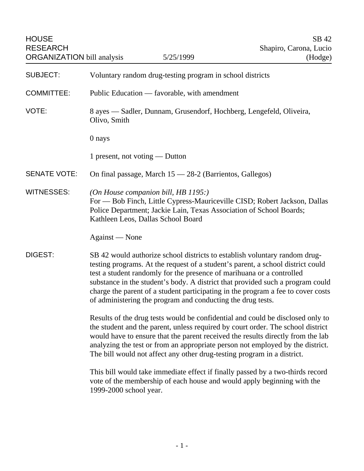| <b>HOUSE</b><br><b>RESEARCH</b><br><b>ORGANIZATION bill analysis</b> |                                                                                                                                                                                                                                                                                                                                                                                                                                                                             | 5/25/1999                                                                                                                                                 | SB 42<br>Shapiro, Carona, Lucio<br>(Hodge) |
|----------------------------------------------------------------------|-----------------------------------------------------------------------------------------------------------------------------------------------------------------------------------------------------------------------------------------------------------------------------------------------------------------------------------------------------------------------------------------------------------------------------------------------------------------------------|-----------------------------------------------------------------------------------------------------------------------------------------------------------|--------------------------------------------|
| <b>SUBJECT:</b>                                                      | Voluntary random drug-testing program in school districts                                                                                                                                                                                                                                                                                                                                                                                                                   |                                                                                                                                                           |                                            |
| <b>COMMITTEE:</b>                                                    | Public Education — favorable, with amendment                                                                                                                                                                                                                                                                                                                                                                                                                                |                                                                                                                                                           |                                            |
| VOTE:                                                                | 8 ayes — Sadler, Dunnam, Grusendorf, Hochberg, Lengefeld, Oliveira,<br>Olivo, Smith                                                                                                                                                                                                                                                                                                                                                                                         |                                                                                                                                                           |                                            |
|                                                                      | 0 nays                                                                                                                                                                                                                                                                                                                                                                                                                                                                      |                                                                                                                                                           |                                            |
|                                                                      | 1 present, not voting — Dutton                                                                                                                                                                                                                                                                                                                                                                                                                                              |                                                                                                                                                           |                                            |
| <b>SENATE VOTE:</b>                                                  | On final passage, March 15 - 28-2 (Barrientos, Gallegos)                                                                                                                                                                                                                                                                                                                                                                                                                    |                                                                                                                                                           |                                            |
| <b>WITNESSES:</b>                                                    | (On House companion bill, HB $1195$ .)<br>Kathleen Leos, Dallas School Board                                                                                                                                                                                                                                                                                                                                                                                                | For — Bob Finch, Little Cypress-Mauriceville CISD; Robert Jackson, Dallas<br>Police Department; Jackie Lain, Texas Association of School Boards;          |                                            |
|                                                                      | Against — None                                                                                                                                                                                                                                                                                                                                                                                                                                                              |                                                                                                                                                           |                                            |
| DIGEST:                                                              | SB 42 would authorize school districts to establish voluntary random drug-<br>testing programs. At the request of a student's parent, a school district could<br>test a student randomly for the presence of marihuana or a controlled<br>substance in the student's body. A district that provided such a program could<br>charge the parent of a student participating in the program a fee to cover costs<br>of administering the program and conducting the drug tests. |                                                                                                                                                           |                                            |
|                                                                      | Results of the drug tests would be confidential and could be disclosed only to<br>the student and the parent, unless required by court order. The school district<br>would have to ensure that the parent received the results directly from the lab<br>analyzing the test or from an appropriate person not employed by the district.<br>The bill would not affect any other drug-testing program in a district.                                                           |                                                                                                                                                           |                                            |
|                                                                      | 1999-2000 school year.                                                                                                                                                                                                                                                                                                                                                                                                                                                      | This bill would take immediate effect if finally passed by a two-thirds record<br>vote of the membership of each house and would apply beginning with the |                                            |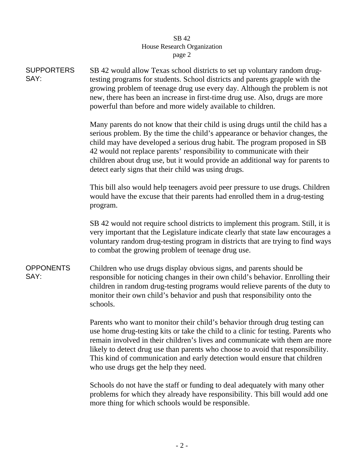## SB 42 House Research Organization page 2

| <b>SUPPORTERS</b><br>SAY: | SB 42 would allow Texas school districts to set up voluntary random drug-<br>testing programs for students. School districts and parents grapple with the<br>growing problem of teenage drug use every day. Although the problem is not<br>new, there has been an increase in first-time drug use. Also, drugs are more<br>powerful than before and more widely available to children.                                                                          |  |  |
|---------------------------|-----------------------------------------------------------------------------------------------------------------------------------------------------------------------------------------------------------------------------------------------------------------------------------------------------------------------------------------------------------------------------------------------------------------------------------------------------------------|--|--|
|                           | Many parents do not know that their child is using drugs until the child has a<br>serious problem. By the time the child's appearance or behavior changes, the<br>child may have developed a serious drug habit. The program proposed in SB<br>42 would not replace parents' responsibility to communicate with their<br>children about drug use, but it would provide an additional way for parents to<br>detect early signs that their child was using drugs. |  |  |
|                           | This bill also would help teenagers avoid peer pressure to use drugs. Children<br>would have the excuse that their parents had enrolled them in a drug-testing<br>program.                                                                                                                                                                                                                                                                                      |  |  |
|                           | SB 42 would not require school districts to implement this program. Still, it is<br>very important that the Legislature indicate clearly that state law encourages a<br>voluntary random drug-testing program in districts that are trying to find ways<br>to combat the growing problem of teenage drug use.                                                                                                                                                   |  |  |
| <b>OPPONENTS</b><br>SAY:  | Children who use drugs display obvious signs, and parents should be<br>responsible for noticing changes in their own child's behavior. Enrolling their<br>children in random drug-testing programs would relieve parents of the duty to<br>monitor their own child's behavior and push that responsibility onto the<br>schools.                                                                                                                                 |  |  |
|                           | Parents who want to monitor their child's behavior through drug testing can<br>use home drug-testing kits or take the child to a clinic for testing. Parents who<br>remain involved in their children's lives and communicate with them are more<br>likely to detect drug use than parents who choose to avoid that responsibility.<br>This kind of communication and early detection would ensure that children<br>who use drugs get the help they need.       |  |  |
|                           |                                                                                                                                                                                                                                                                                                                                                                                                                                                                 |  |  |

Schools do not have the staff or funding to deal adequately with many other problems for which they already have responsibility. This bill would add one more thing for which schools would be responsible.